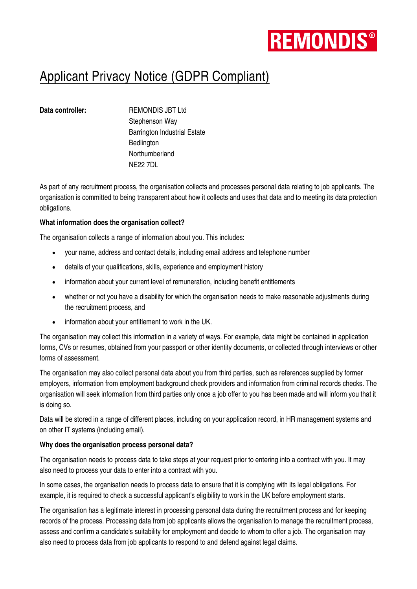

# Applicant Privacy Notice (GDPR Compliant)

**Data controller:** REMONDIS JBT Ltd Stephenson Way Barrington Industrial Estate **Bedlington Northumberland** NE22 7DL

As part of any recruitment process, the organisation collects and processes personal data relating to job applicants. The organisation is committed to being transparent about how it collects and uses that data and to meeting its data protection obligations.

### **What information does the organisation collect?**

The organisation collects a range of information about you. This includes:

- your name, address and contact details, including email address and telephone number
- details of your qualifications, skills, experience and employment history
- information about your current level of remuneration, including benefit entitlements
- whether or not you have a disability for which the organisation needs to make reasonable adjustments during the recruitment process, and
- information about your entitlement to work in the UK.

The organisation may collect this information in a variety of ways. For example, data might be contained in application forms, CVs or resumes, obtained from your passport or other identity documents, or collected through interviews or other forms of assessment.

The organisation may also collect personal data about you from third parties, such as references supplied by former employers, information from employment background check providers and information from criminal records checks. The organisation will seek information from third parties only once a job offer to you has been made and will inform you that it is doing so.

Data will be stored in a range of different places, including on your application record, in HR management systems and on other IT systems (including email).

### **Why does the organisation process personal data?**

The organisation needs to process data to take steps at your request prior to entering into a contract with you. It may also need to process your data to enter into a contract with you.

In some cases, the organisation needs to process data to ensure that it is complying with its legal obligations. For example, it is required to check a successful applicant's eligibility to work in the UK before employment starts.

The organisation has a legitimate interest in processing personal data during the recruitment process and for keeping records of the process. Processing data from job applicants allows the organisation to manage the recruitment process, assess and confirm a candidate's suitability for employment and decide to whom to offer a job. The organisation may also need to process data from job applicants to respond to and defend against legal claims.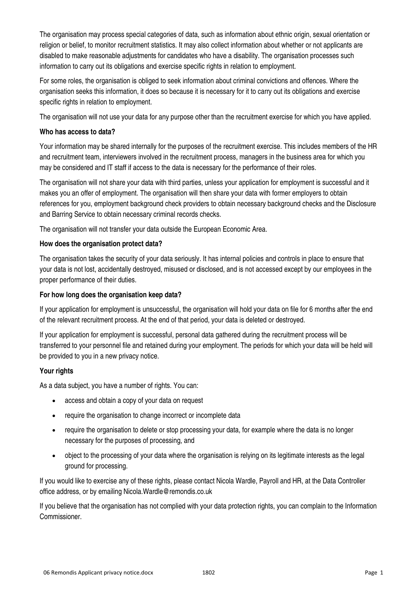The organisation may process special categories of data, such as information about ethnic origin, sexual orientation or religion or belief, to monitor recruitment statistics. It may also collect information about whether or not applicants are disabled to make reasonable adjustments for candidates who have a disability. The organisation processes such information to carry out its obligations and exercise specific rights in relation to employment.

For some roles, the organisation is obliged to seek information about criminal convictions and offences. Where the organisation seeks this information, it does so because it is necessary for it to carry out its obligations and exercise specific rights in relation to employment.

The organisation will not use your data for any purpose other than the recruitment exercise for which you have applied.

### **Who has access to data?**

Your information may be shared internally for the purposes of the recruitment exercise. This includes members of the HR and recruitment team, interviewers involved in the recruitment process, managers in the business area for which you may be considered and IT staff if access to the data is necessary for the performance of their roles.

The organisation will not share your data with third parties, unless your application for employment is successful and it makes you an offer of employment. The organisation will then share your data with former employers to obtain references for you, employment background check providers to obtain necessary background checks and the Disclosure and Barring Service to obtain necessary criminal records checks.

The organisation will not transfer your data outside the European Economic Area.

### **How does the organisation protect data?**

The organisation takes the security of your data seriously. It has internal policies and controls in place to ensure that your data is not lost, accidentally destroyed, misused or disclosed, and is not accessed except by our employees in the proper performance of their duties.

### **For how long does the organisation keep data?**

If your application for employment is unsuccessful, the organisation will hold your data on file for 6 months after the end of the relevant recruitment process. At the end of that period, your data is deleted or destroyed.

If your application for employment is successful, personal data gathered during the recruitment process will be transferred to your personnel file and retained during your employment. The periods for which your data will be held will be provided to you in a new privacy notice.

### **Your rights**

As a data subject, you have a number of rights. You can:

- access and obtain a copy of your data on request
- require the organisation to change incorrect or incomplete data
- require the organisation to delete or stop processing your data, for example where the data is no longer necessary for the purposes of processing, and
- object to the processing of your data where the organisation is relying on its legitimate interests as the legal ground for processing.

If you would like to exercise any of these rights, please contact Nicola Wardle, Payroll and HR, at the Data Controller office address, or by emailing Nicola.Wardle@remondis.co.uk

If you believe that the organisation has not complied with your data protection rights, you can complain to the Information Commissioner.